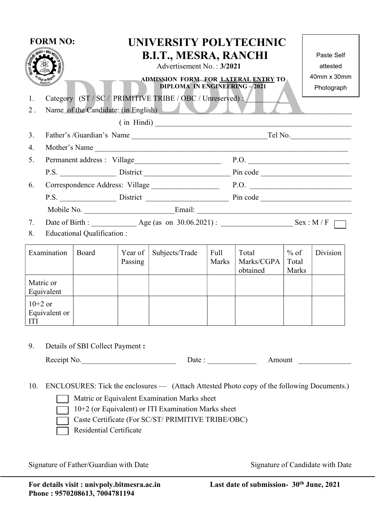| <b>FORM NO:</b><br>1.<br>$2$ .           |                                                                                       | UNIVERSITY POLYTECHNIC<br><b>B.I.T., MESRA, RANCHI</b><br>Advertisement No.: 3/2021<br>ADMISSION FORM FOR LATERAL ENTRY TO<br><b>DIPLOMA IN ENGINEERING-2021</b><br>Category (ST / SC / PRIMITIVE TRIBE / OBC / Unreserved) : /<br>Name of the Candidate: (in English)<br>$(\text{in Hindi})$ |                    |                                                                  |                                         |                                 |                          | Paste Self<br>attested<br>40mm x 30mm<br>Photograph |  |
|------------------------------------------|---------------------------------------------------------------------------------------|-----------------------------------------------------------------------------------------------------------------------------------------------------------------------------------------------------------------------------------------------------------------------------------------------|--------------------|------------------------------------------------------------------|-----------------------------------------|---------------------------------|--------------------------|-----------------------------------------------------|--|
| 3.                                       |                                                                                       |                                                                                                                                                                                                                                                                                               |                    |                                                                  |                                         |                                 |                          |                                                     |  |
| 4.                                       | Mother's Name<br><u> 1990 - Johann John Barn, mars an t-Amerikaansk kommunister (</u> |                                                                                                                                                                                                                                                                                               |                    |                                                                  |                                         |                                 |                          |                                                     |  |
| 5.                                       | Permanent address: Village                                                            |                                                                                                                                                                                                                                                                                               |                    | P.O.                                                             |                                         |                                 |                          |                                                     |  |
|                                          |                                                                                       |                                                                                                                                                                                                                                                                                               |                    | P.S. District Pin code                                           |                                         |                                 |                          |                                                     |  |
| 6.                                       |                                                                                       |                                                                                                                                                                                                                                                                                               |                    |                                                                  | P.O.<br>Correspondence Address: Village |                                 |                          |                                                     |  |
|                                          |                                                                                       |                                                                                                                                                                                                                                                                                               |                    | P.S. District Pin code                                           |                                         |                                 |                          |                                                     |  |
|                                          |                                                                                       |                                                                                                                                                                                                                                                                                               |                    |                                                                  |                                         |                                 |                          |                                                     |  |
| 7.                                       |                                                                                       |                                                                                                                                                                                                                                                                                               |                    |                                                                  |                                         |                                 |                          |                                                     |  |
| Educational Qualification :<br>8.        |                                                                                       |                                                                                                                                                                                                                                                                                               |                    |                                                                  |                                         |                                 |                          |                                                     |  |
| Examination                              |                                                                                       | Board                                                                                                                                                                                                                                                                                         | Year of<br>Passing | Subjects/Trade                                                   | Full<br>Marks                           | Total<br>Marks/CGPA<br>obtained | $%$ of<br>Total<br>Marks | Division                                            |  |
| Matric or<br>Equivalent                  |                                                                                       |                                                                                                                                                                                                                                                                                               |                    |                                                                  |                                         |                                 |                          |                                                     |  |
| $10+2$ or<br>Equivalent or<br><b>ITI</b> |                                                                                       |                                                                                                                                                                                                                                                                                               |                    |                                                                  |                                         |                                 |                          |                                                     |  |
| 9.                                       | Details of SBI Collect Payment :                                                      |                                                                                                                                                                                                                                                                                               |                    |                                                                  |                                         |                                 |                          |                                                     |  |
| Receipt No.                              |                                                                                       |                                                                                                                                                                                                                                                                                               |                    | Date: $\frac{1}{\sqrt{1-\frac{1}{2}}\cdot\frac{1}{2}}$<br>Amount |                                         |                                 |                          |                                                     |  |

10. ENCLOSURES: Tick the enclosures — (Attach Attested Photo copy of the following Documents.)

Matric or Equivalent Examination Marks sheet

10+2 (or Equivalent) or ITI Examination Marks sheet

Caste Certificate (For SC/ST/ PRIMITIVE TRIBE/OBC)

Residential Certificate

Signature of Father/Guardian with Date Signature of Candidate with Date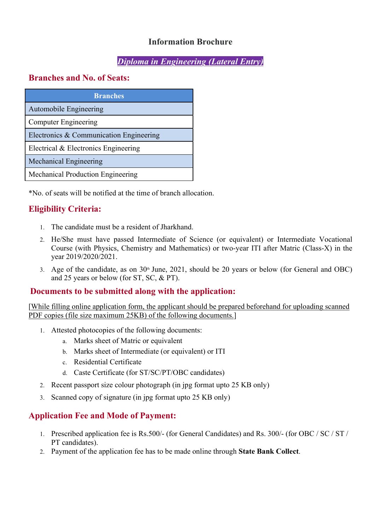# Information Brochure

# Diploma in Engineering (Lateral Entry)

# Branches and No. of Seats:

| <b>Branches</b>                         |  |  |  |  |  |
|-----------------------------------------|--|--|--|--|--|
| Automobile Engineering                  |  |  |  |  |  |
| <b>Computer Engineering</b>             |  |  |  |  |  |
| Electronics & Communication Engineering |  |  |  |  |  |
| Electrical & Electronics Engineering    |  |  |  |  |  |
| <b>Mechanical Engineering</b>           |  |  |  |  |  |
| Mechanical Production Engineering       |  |  |  |  |  |

\*No. of seats will be notified at the time of branch allocation.

# Eligibility Criteria:

- 1. The candidate must be a resident of Jharkhand.
- 2. He/She must have passed Intermediate of Science (or equivalent) or Intermediate Vocational Course (with Physics, Chemistry and Mathematics) or two-year ITI after Matric (Class-X) in the year 2019/2020/2021.
- 3. Age of the candidate, as on 30<sup>th</sup> June, 2021, should be 20 years or below (for General and OBC) and 25 years or below (for ST, SC, & PT).

### Documents to be submitted along with the application:

[While filling online application form, the applicant should be prepared beforehand for uploading scanned PDF copies (file size maximum 25KB) of the following documents.]

- 1. Attested photocopies of the following documents:
	- a. Marks sheet of Matric or equivalent
	- b. Marks sheet of Intermediate (or equivalent) or ITI
	- c. Residential Certificate
	- d. Caste Certificate (for ST/SC/PT/OBC candidates)
- 2. Recent passport size colour photograph (in jpg format upto 25 KB only)
- 3. Scanned copy of signature (in jpg format upto 25 KB only)

### Application Fee and Mode of Payment:

- 1. Prescribed application fee is Rs.500/- (for General Candidates) and Rs. 300/- (for OBC / SC / ST / PT candidates).
- 2. Payment of the application fee has to be made online through State Bank Collect.